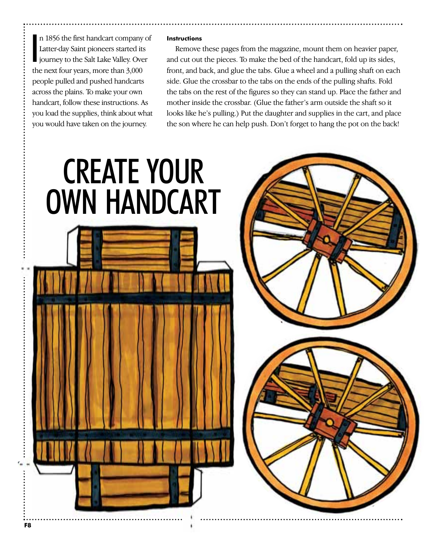$\frac{1}{2}$ n 1856 the first handcart company of Latter-day Saint pioneers started its journey to the Salt Lake Valley. Over the next four years, more than 3,000 people pulled and pushed handcarts across the plains. To make your own handcart, follow these instructions. As you load the supplies, think about what you would have taken on the journey.

## **Instructions**

Remove these pages from the magazine, mount them on heavier paper, and cut out the pieces. To make the bed of the handcart, fold up its sides, front, and back, and glue the tabs. Glue a wheel and a pulling shaft on each side. Glue the crossbar to the tabs on the ends of the pulling shafts. Fold the tabs on the rest of the figures so they can stand up. Place the father and mother inside the crossbar. (Glue the father's arm outside the shaft so it looks like he's pulling.) Put the daughter and supplies in the cart, and place the son where he can help push. Don't forget to hang the pot on the back!